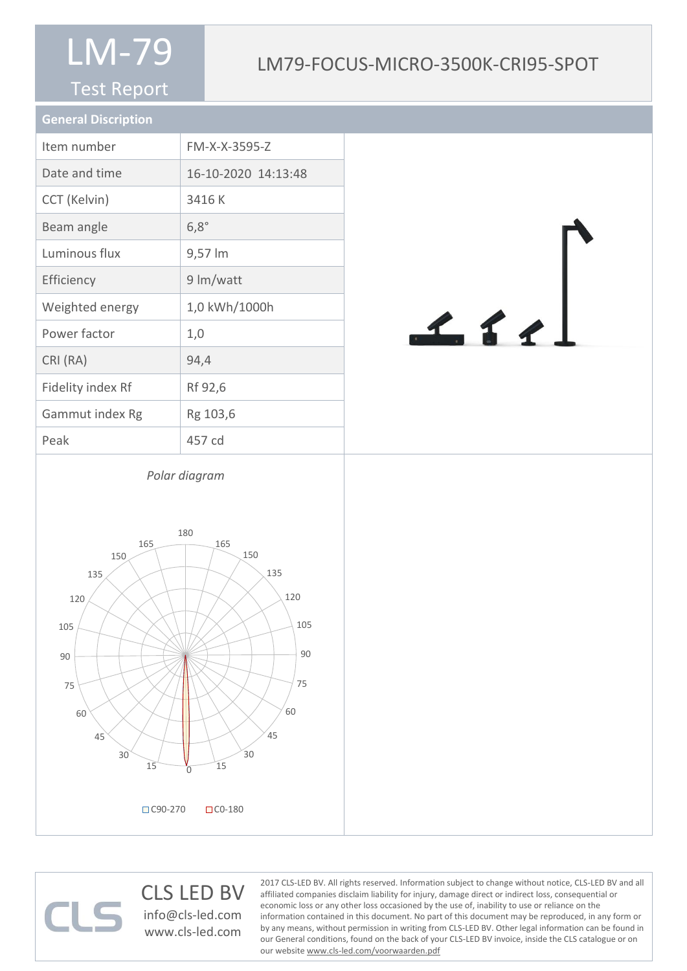#### Test Report

### LM79-FOCUS-MICRO-3500K-CRI95-SPOT

| <b>General Discription</b> |                     |
|----------------------------|---------------------|
| Item number                | FM-X-X-3595-Z       |
| Date and time              | 16-10-2020 14:13:48 |
| CCT (Kelvin)               | 3416K               |
| Beam angle                 | $6,8^\circ$         |
| Luminous flux              | 9,57 lm             |
| Efficiency                 | 9 lm/watt           |
| Weighted energy            | 1,0 kWh/1000h       |
| Power factor               | 1,0                 |
| CRI (RA)                   | 94,4                |
| Fidelity index Rf          | Rf 92,6             |
| Gammut index Rg            | Rg 103,6            |
| Peak                       | 457 cd              |



*Polar diagram*



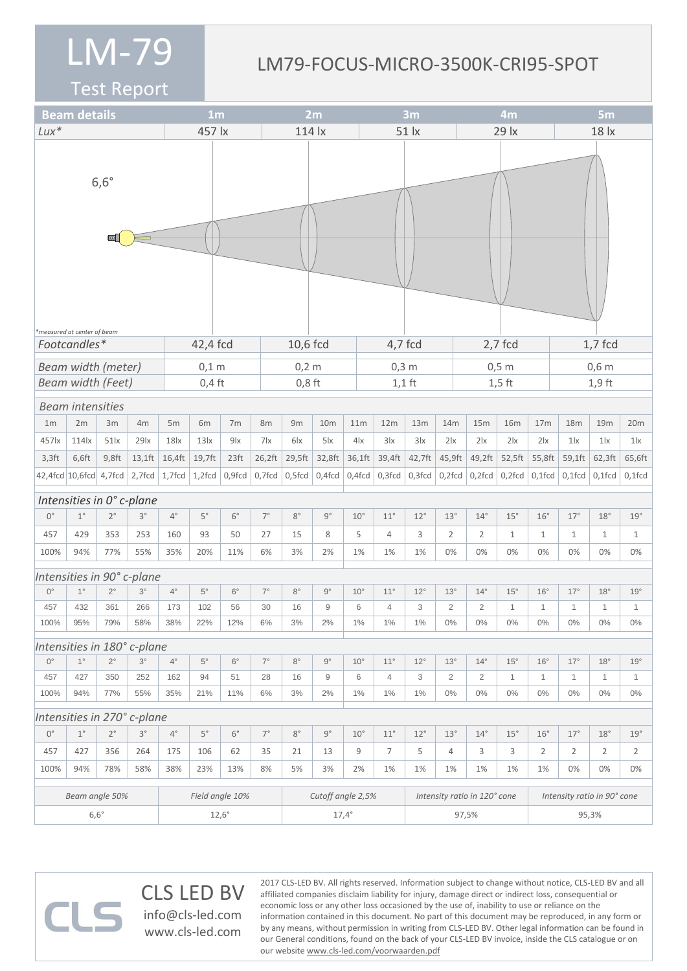#### LM79-FOCUS-MICRO-3500K-CRI95-SPOT

Test Report

 $\Box$ 

|                                                         | <b>Beam details</b><br>1 <sub>m</sub> |             |                             |                 |                  |                  | 2m                |                 |                 |  | 3m           |                              |              | 4m             |                |              | 5 <sub>m</sub>              |                |                |                |  |
|---------------------------------------------------------|---------------------------------------|-------------|-----------------------------|-----------------|------------------|------------------|-------------------|-----------------|-----------------|--|--------------|------------------------------|--------------|----------------|----------------|--------------|-----------------------------|----------------|----------------|----------------|--|
| $Lux*$                                                  |                                       |             |                             |                 | 457 lx           |                  |                   | 114 lx          |                 |  | 51 lx        |                              |              |                | 29 lx          |              |                             | 18 lx          |                |                |  |
|                                                         |                                       | $6,6^\circ$ |                             |                 |                  |                  |                   |                 |                 |  |              |                              |              |                |                |              |                             |                |                |                |  |
| *measured at center of beam<br>Footcandles*<br>42,4 fcd |                                       |             |                             |                 |                  |                  |                   | 10,6 fcd        |                 |  | 4,7 fcd      |                              |              |                | $2,7$ fcd      |              | $1,7$ fcd                   |                |                |                |  |
|                                                         | <b>Beam width (meter)</b>             |             |                             |                 | $0,1$ m          |                  |                   | $0,2 \text{ m}$ |                 |  | $0,3$ m      |                              |              |                | $0,5$ m        |              |                             | $0,6$ m        |                |                |  |
|                                                         | <b>Beam width (Feet)</b>              |             |                             |                 | $0,4$ ft         |                  |                   | $0,8$ ft        |                 |  | $1,1$ ft     |                              |              |                | $1,5$ ft       |              |                             | $1,9$ ft       |                |                |  |
|                                                         | <b>Beam intensities</b>               |             |                             |                 |                  |                  |                   |                 |                 |  |              |                              |              |                |                |              |                             |                |                |                |  |
| 1 <sub>m</sub>                                          | 2m                                    | 3m          | 4m                          | 5m              | 6m               | 7 <sub>m</sub>   | 8m                | 9m              | 10 <sub>m</sub> |  | 11m          | 12m                          | 13m          | 14m            | 15m            | <b>16m</b>   | 17 <sub>m</sub>             | 18m            | 19m            | 20m            |  |
| 457 k                                                   | 114 x                                 | $51$ $x$    | 29 <sub>lx</sub>            | 18 <sub>x</sub> | 13 <sub>ix</sub> | 9x               | 7x                | 6 <sub>lx</sub> | $5\text{lx}$    |  | 4x           | 3 x                          | 3x           | 2 x            | 2 x            | 2 x          | 2 x                         | 1 <sub>x</sub> | 1 <sub>x</sub> | $1\text{lx}$   |  |
| $3,3$ ft                                                | 6,6ft                                 | $9,8$ ft    | $13,1$ ft                   | 16,4ft          | 19,7ft           | 23 <sup>ft</sup> | 26,2ft            | 29,5ft          | 32,8ft          |  | 36,1ft       | 39,4ft                       | 42,7ft       | 45,9ft         | 49,2ft         | 52,5ft       | 55,8ft                      | 59,1ft         | 62,3ft         | 65,6ft         |  |
| 42,4fcd 10,6fcd 4,7fcd                                  |                                       |             | $2,7$ fcd $ 1,7$ fcd $ $    |                 | $1,2$ fcd        | 0,9fcd           | 0,7fcd            | $0,5$ fcd       | $0,4$ fcd       |  | $0,4$ fcd    | $0,3$ fcd                    | $0,3$ fcd    | $0,2$ fcd      | $0,2$ fcd      | $0,2$ fcd    | $0,1$ fcd                   | $0,1$ fcd      | $0,1$ fcd      | $0,1$ fcd      |  |
|                                                         | Intensities in 0° c-plane             |             |                             |                 |                  |                  |                   |                 |                 |  |              |                              |              |                |                |              |                             |                |                |                |  |
| $0^{\circ}$                                             | $1^{\circ}$                           | $2^{\circ}$ | $3^{\circ}$                 | $4^{\circ}$     | $5^\circ$        | $6^{\circ}$      | $7^{\circ}$       | $8^{\circ}$     | $9^{\circ}$     |  | $10^{\circ}$ | $11^{\circ}$                 | $12^{\circ}$ | 13°            | $14^{\circ}$   | $15^{\circ}$ | $16^{\circ}$                | 17°            | 18°            | 19°            |  |
| 457                                                     | 429                                   | 353         | 253                         | 160             | 93               | 50               | 27                | 15              | 8               |  | 5            | 4                            | 3            | $\overline{2}$ | $\overline{2}$ | $\mathbf{1}$ | $\mathbf{1}$                | $\mathbf{1}$   | $\mathbf{1}$   | $\mathbf{1}$   |  |
| 100%                                                    | 94%                                   | 77%         | 55%                         | 35%             | 20%              | 11%              | 6%                | 3%              | 2%              |  | 1%           | 1%                           | 1%           | 0%             | $0\%$          | 0%           | 0%                          | 0%             | 0%             | 0%             |  |
|                                                         |                                       |             | Intensities in 90° c-plane  |                 |                  |                  |                   |                 |                 |  |              |                              |              |                |                |              |                             |                |                |                |  |
| $0^{\circ}$                                             | $1^{\circ}$                           | $2^{\circ}$ | $3^\circ$                   | $4^{\circ}$     | $5^{\circ}$      | $6^{\circ}$      | $7^{\circ}$       | $8^{\circ}$     | $9^{\circ}$     |  | $10^{\circ}$ | $11^{\circ}$                 | $12^{\circ}$ | $13^\circ$     | $14^{\circ}$   | $15^{\circ}$ | $16^{\circ}$                | $17^\circ$     | $18^\circ$     | 19°            |  |
| 457                                                     | 432                                   | 361         | 266                         | 173             | 102              | 56               | 30                | 16              | 9               |  | 6            | 4                            | 3            | 2              | $\overline{2}$ | $\mathbf{1}$ | $\mathbf{1}$                | 1              | 1              | $\mathbf{1}$   |  |
| 100%                                                    | 95%                                   | 79%         | 58%                         | 38%             | 22%              | 12%              | 6%                | 3%              | 2%              |  | 1%           | 1%                           | 1%           | $0\%$          | $0\%$          | $0\%$        | $0\%$                       | $0\%$          | $0\%$          | $0\%$          |  |
|                                                         |                                       |             | Intensities in 180° c-plane |                 |                  |                  |                   |                 |                 |  |              |                              |              |                |                |              |                             |                |                |                |  |
| $0^{\circ}$                                             | $1^{\circ}$                           | $2^{\circ}$ | $3^\circ$                   | $4^{\circ}$     | $5^{\circ}$      | $6^{\circ}$      | $7^{\circ}$       | $8^{\circ}$     | $9^{\circ}$     |  | $10^{\circ}$ | $11^{\circ}$                 | $12^{\circ}$ | $13^\circ$     | $14^{\circ}$   | $15^{\circ}$ | $16^{\circ}$                | $17^{\circ}$   | $18^{\circ}$   | 19°            |  |
| 457                                                     | 427                                   | 350         | 252                         | 162             | 94               | 51               | 28                | 16              | 9               |  | 6            | $\overline{4}$               | 3            | $\overline{2}$ | $\sqrt{2}$     | $\mathbf{1}$ | $\mathbf{1}$                | $\mathbf{1}$   | $\mathbf{1}$   | $\mathbf{1}$   |  |
| 100%                                                    | 94%                                   | 77%         | 55%                         | 35%             | 21%              | 11%              | 6%                | 3%              | 2%              |  | $1\%$        | $1\%$                        | $1\%$        | $0\%$          | $0\%$          | $0\%$        | $0\%$                       | $0\%$          | $0\%$          | $0\%$          |  |
|                                                         |                                       |             | Intensities in 270° c-plane |                 |                  |                  |                   |                 |                 |  |              |                              |              |                |                |              |                             |                |                |                |  |
| $0^{\circ}$                                             | $1^{\circ}$                           | $2^{\circ}$ | $3^{\circ}$                 | $4^{\circ}$     | $5^{\circ}$      | $6^{\circ}$      | $7^{\circ}$       | $8^{\circ}$     | $9^{\circ}$     |  | $10^{\circ}$ | $11^{\circ}$                 | $12^{\circ}$ | 13°            | $14^{\circ}$   | 15°          | $16^{\circ}$                | $17^\circ$     | $18^{\circ}$   | 19°            |  |
| 457                                                     | 427                                   | 356         | 264                         | 175             | 106              | 62               | 35                | 21              | 13              |  | 9            | $\overline{7}$               | 5            | $\overline{4}$ | 3              | 3            | $\overline{2}$              | $\overline{2}$ | $\overline{2}$ | $\overline{2}$ |  |
| 100%                                                    | 94%                                   | 78%         | 58%                         | 38%             | 23%              | 13%              | 8%                | 5%              | 3%              |  | 2%           | 1%                           | 1%           | 1%             | 1%             | 1%           | $1\%$                       | 0%             | 0%             | 0%             |  |
| Beam angle 50%                                          |                                       |             | Field angle 10%             |                 |                  |                  | Cutoff angle 2,5% |                 |                 |  |              | Intensity ratio in 120° cone |              |                |                |              | Intensity ratio in 90° cone |                |                |                |  |
| $6,6^\circ$                                             |                                       |             |                             | $12,6^{\circ}$  |                  |                  |                   | $17,4^{\circ}$  |                 |  |              | 97,5%                        |              |                |                |              | 95,3%                       |                |                |                |  |

#### CLS LED BV info@cls-led.com www.cls-led.com 2017 CLS-LED BV. All rights reserved. Information subject to change without notice, CLS-LED BV and all affiliated companies disclaim liability for injury, damage direct or indirect loss, consequential or economic loss or any other loss occasioned by the use of, inability to use or reliance on the information contained in this document. No part of this document may be reproduced, in any form or by any means, without permission in writing from CLS-LED BV. Other legal information can be found in our General conditions, found on the back of your CLS-LED BV invoice, inside the CLS catalogue or on our website www.cls-led.com/voorwaarden.pdf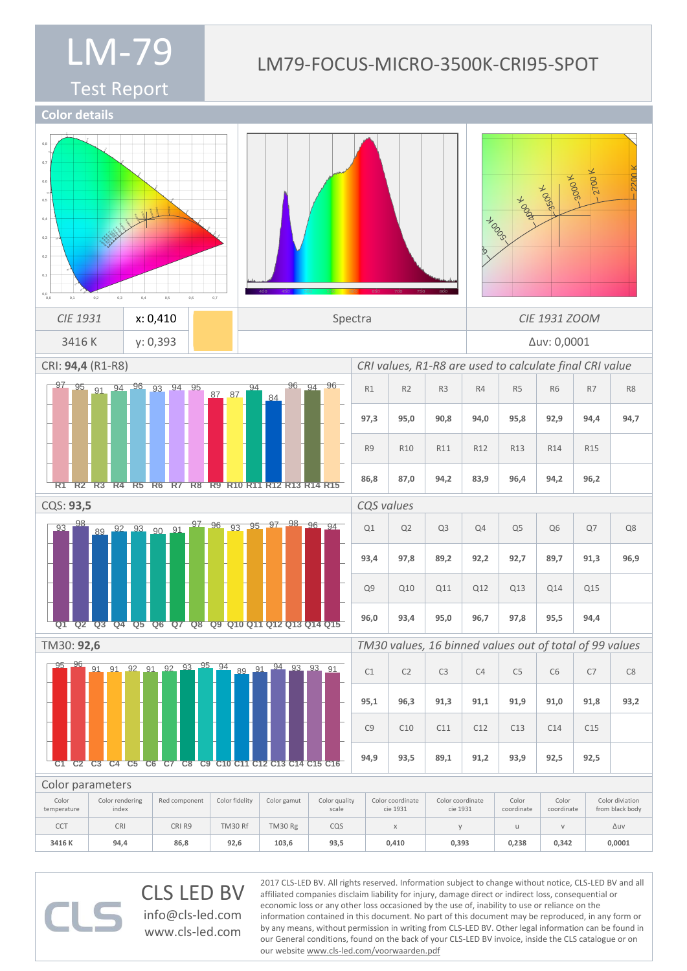#### Test Report

#### LM79-FOCUS-MICRO-3500K-CRI95-SPOT



CLS LED BV info@cls-led.com www.cls-led.com

2017 CLS-LED BV. All rights reserved. Information subject to change without notice, CLS-LED BV and all affiliated companies disclaim liability for injury, damage direct or indirect loss, consequential or economic loss or any other loss occasioned by the use of, inability to use or reliance on the information contained in this document. No part of this document may be reproduced, in any form or by any means, without permission in writing from CLS-LED BV. Other legal information can be found in our General conditions, found on the back of your CLS-LED BV invoice, inside the CLS catalogue or on our website www.cls-led.com/voorwaarden.pdf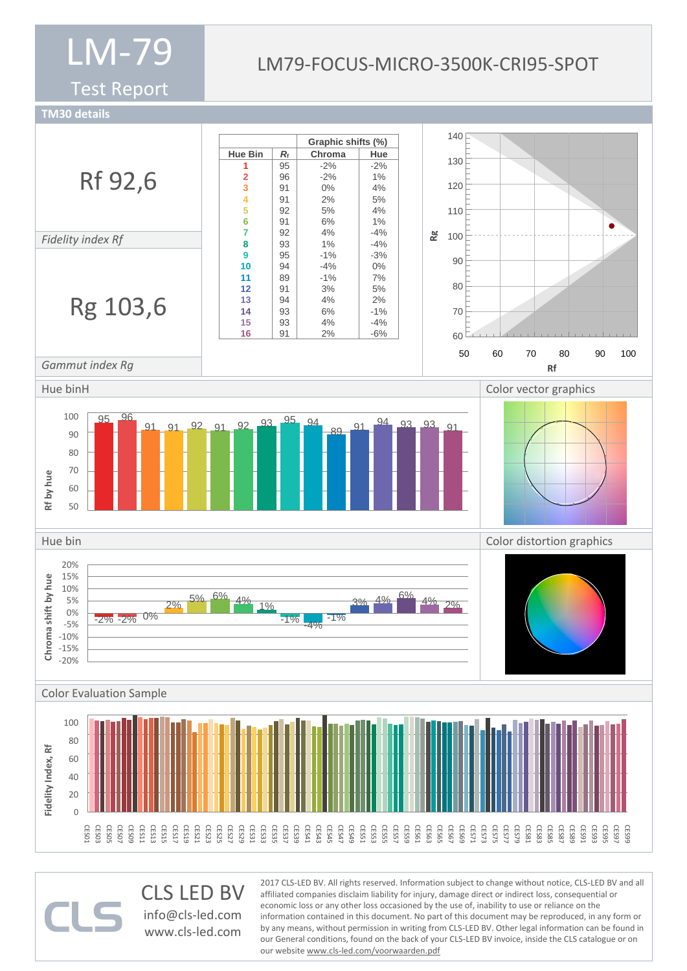Test Report

### LM79-FOCUS-MICRO-3500K-CRI95-SPOT

**TM30 details**



CLS LED BV info@cls-led.com www.cls-led.com

2017 CLS-LED BV. All rights reserved. Information subject to change without notice, CLS-LED BV and all affiliated companies disclaim liability for injury, damage direct or indirect loss, consequential or economic loss or any other loss occasioned by the use of, inability to use or reliance on the information contained in this document. No part of this document may be reproduced, in any form or by any means, without permission in writing from CLS-LED BV. Other legal information can be found in our General conditions, found on the back of your CLS-LED BV invoice, inside the CLS catalogue or on our website www.cls-led.com/voorwaarden.pdf